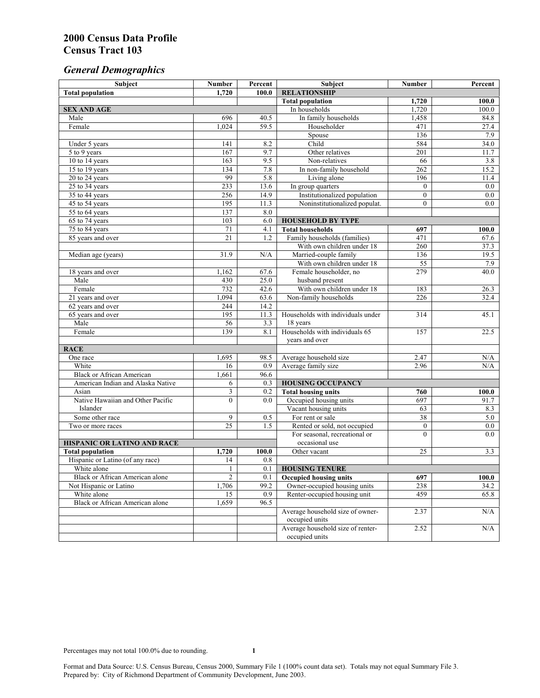# *General Demographics*

| Subject                           | <b>Number</b>         | Percent    | Subject                                                 | Number           | Percent      |
|-----------------------------------|-----------------------|------------|---------------------------------------------------------|------------------|--------------|
| <b>Total population</b>           | 1.720                 | 100.0      | <b>RELATIONSHIP</b>                                     |                  |              |
|                                   |                       |            | <b>Total population</b>                                 | 1,720            | 100.0        |
| <b>SEX AND AGE</b>                |                       |            | In households                                           | 1,720            | 100.0        |
| Male                              | 696                   | 40.5       | In family households                                    | 1,458            | 84.8         |
| Female                            | 1.024                 | 59.5       | Householder                                             | 471              | 27.4         |
|                                   |                       |            | Spouse                                                  | 136              | 7.9          |
| Under 5 years                     | 141                   | 8.2        | Child                                                   | 584              | 34.0         |
| 5 to 9 years                      | 167                   | 9.7        | Other relatives                                         | $\overline{201}$ | 11.7         |
| 10 to 14 years                    | 163                   | 9.5        | Non-relatives                                           | 66               | 3.8          |
| 15 to 19 years                    | 134                   | 7.8        | In non-family household                                 | 262              | 15.2         |
| 20 to 24 years                    | 99                    | 5.8        | Living alone                                            | 196              | 11.4         |
| 25 to 34 years                    | 233                   | 13.6       | In group quarters                                       | $\overline{0}$   | 0.0          |
| 35 to 44 years                    | 256                   | 14.9       | Institutionalized population                            | $\mathbf{0}$     | 0.0          |
| 45 to 54 years                    | 195                   | 11.3       | Noninstitutionalized populat.                           | $\overline{0}$   | 0.0          |
| 55 to 64 years                    | 137<br>103            | 8.0<br>6.0 |                                                         |                  |              |
| 65 to 74 years                    |                       | 4.1        | <b>HOUSEHOLD BY TYPE</b>                                |                  |              |
| 75 to 84 years                    | 71<br>$\overline{21}$ | 1.2        | <b>Total households</b><br>Family households (families) | 697<br>471       | 100.0        |
| 85 years and over                 |                       |            | With own children under 18                              | 260              | 67.6<br>37.3 |
| Median age (years)                | 31.9                  | N/A        | Married-couple family                                   | 136              | 19.5         |
|                                   |                       |            | With own children under 18                              | $\overline{55}$  | 7.9          |
| 18 years and over                 | 1,162                 | 67.6       | Female householder, no                                  | 279              | 40.0         |
| Male                              | 430                   | 25.0       | husband present                                         |                  |              |
| Female                            | 732                   | 42.6       | With own children under 18                              | 183              | 26.3         |
| 21 years and over                 | 1,094                 | 63.6       | Non-family households                                   | 226              | 32.4         |
| 62 years and over                 | 244                   | 14.2       |                                                         |                  |              |
| 65 years and over                 | 195                   | 11.3       | Households with individuals under                       | 314              | 45.1         |
| Male                              | 56                    | 3.3        | 18 years                                                |                  |              |
| Female                            | 139                   | 8.1        | Households with individuals 65                          | 157              | 22.5         |
|                                   |                       |            | years and over                                          |                  |              |
| <b>RACE</b>                       |                       |            |                                                         |                  |              |
| One race                          | 1,695                 | 98.5       | Average household size                                  | 2.47             | N/A          |
| White                             | 16                    | 0.9        | Average family size                                     | 2.96             | N/A          |
| <b>Black or African American</b>  | 1,661                 | 96.6       |                                                         |                  |              |
| American Indian and Alaska Native | 6                     | 0.3        | <b>HOUSING OCCUPANCY</b>                                |                  |              |
| Asian                             | 3                     | 0.2        | <b>Total housing units</b><br>760                       |                  | 100.0        |
| Native Hawaiian and Other Pacific | $\theta$              | 0.0        | Occupied housing units                                  | 697              | 91.7         |
| Islander                          |                       |            | Vacant housing units                                    | 63               | 8.3          |
| Some other race                   | 9                     | 0.5        | For rent or sale                                        | $\overline{38}$  | 5.0          |
| Two or more races                 | $\overline{25}$       | 1.5        | Rented or sold, not occupied                            | $\boldsymbol{0}$ | 0.0          |
|                                   |                       |            | For seasonal, recreational or                           | $\theta$         | 0.0          |
| HISPANIC OR LATINO AND RACE       |                       |            | occasional use                                          |                  |              |
| <b>Total population</b>           | 1,720                 | 100.0      | Other vacant                                            | 25               | 3.3          |
| Hispanic or Latino (of any race)  | 14                    | 0.8        |                                                         |                  |              |
| White alone                       | 1                     | 0.1        | <b>HOUSING TENURE</b>                                   |                  |              |
| Black or African American alone   | 2                     | 0.1        | <b>Occupied housing units</b>                           | 697              | 100.0        |
| Not Hispanic or Latino            | 1,706                 | 99.2       | Owner-occupied housing units                            | 238              | 34.2         |
| White alone                       | 15                    | 0.9        | Renter-occupied housing unit                            | 459              | 65.8         |
| Black or African American alone   | 1,659                 | 96.5       |                                                         |                  |              |
|                                   |                       |            | Average household size of owner-                        | 2.37             | N/A          |
|                                   |                       |            | occupied units                                          |                  |              |
|                                   |                       |            | Average household size of renter-                       | 2.52             | N/A          |
|                                   |                       |            | occupied units                                          |                  |              |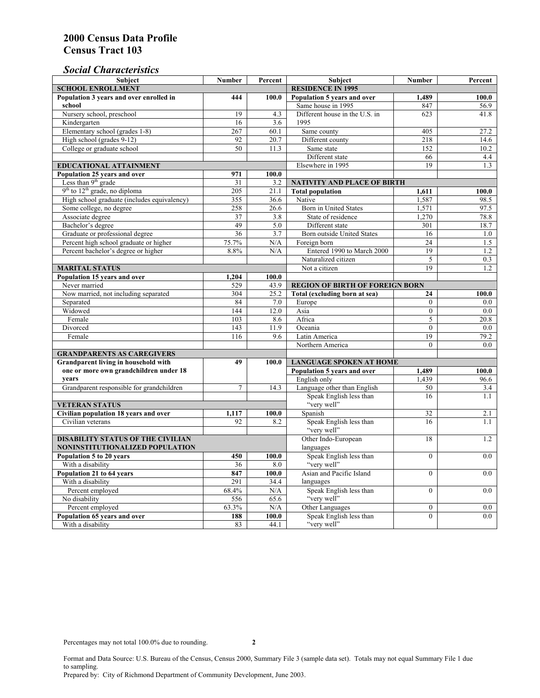### *Social Characteristics*

| <b>Subject</b>                                      | <b>Number</b>            | Percent                        | <b>Subject</b>                         | Number           | Percent |
|-----------------------------------------------------|--------------------------|--------------------------------|----------------------------------------|------------------|---------|
| <b>SCHOOL ENROLLMENT</b>                            | <b>RESIDENCE IN 1995</b> |                                |                                        |                  |         |
| Population 3 years and over enrolled in             | 444                      | 100.0                          | Population 5 years and over            | 1,489            | 100.0   |
| school                                              |                          |                                | Same house in 1995                     | 847              | 56.9    |
| Nursery school, preschool                           | 19                       | 4.3                            | Different house in the U.S. in         | 623              | 41.8    |
| Kindergarten                                        | 16                       | 3.6                            | 1995                                   |                  |         |
| Elementary school (grades 1-8)                      | 267                      | 60.1                           | Same county                            | 405              | 27.2    |
| High school (grades 9-12)                           | 92                       | 20.7                           | Different county                       | 218              | 14.6    |
| College or graduate school                          | 50                       | 11.3                           | Same state                             | 152              | 10.2    |
|                                                     |                          |                                | Different state                        | 66               | 4.4     |
| EDUCATIONAL ATTAINMENT                              |                          |                                | Elsewhere in 1995                      | 19               | 1.3     |
| Population 25 years and over                        | 971                      | 100.0                          |                                        |                  |         |
| Less than $9th$ grade                               | 31                       | 3.2                            | <b>NATIVITY AND PLACE OF BIRTH</b>     |                  |         |
| $9th$ to $12th$ grade, no diploma                   | 205                      | 21.1                           | <b>Total population</b>                | 1,611            | 100.0   |
| High school graduate (includes equivalency)         | 355                      | 36.6                           | Native                                 | 1,587            | 98.5    |
| Some college, no degree                             | 258                      | 26.6                           | <b>Born</b> in United States           | 1,571            | 97.5    |
| Associate degree                                    | 37                       | 3.8                            | State of residence                     | 1,270            | 78.8    |
| Bachelor's degree                                   | 49                       | 5.0                            | Different state                        | 301              | 18.7    |
| Graduate or professional degree                     | 36                       | 3.7                            | Born outside United States             | 16               | 1.0     |
| Percent high school graduate or higher              | 75.7%                    | N/A                            | Foreign born                           | $\overline{24}$  | 1.5     |
| Percent bachelor's degree or higher                 | 8.8%                     | N/A                            | Entered 1990 to March 2000             | 19               | 1.2     |
|                                                     |                          |                                | Naturalized citizen                    | 5                | 0.3     |
| <b>MARITAL STATUS</b>                               | Not a citizen            | 19                             | 1.2                                    |                  |         |
| Population 15 years and over                        | 1,204                    | 100.0                          |                                        |                  |         |
| Never married                                       | 529                      | 43.9                           | <b>REGION OF BIRTH OF FOREIGN BORN</b> |                  |         |
| Now married, not including separated                | 304                      | 25.2                           | Total (excluding born at sea)          | 24               | 100.0   |
| Separated                                           | 84                       | 7.0                            | Europe                                 | $\overline{0}$   | 0.0     |
| Widowed                                             | 144                      | 12.0                           | Asia                                   | $\mathbf{0}$     | $0.0\,$ |
| Female                                              | 103                      | 8.6                            | Africa                                 | 5                | 20.8    |
| Divorced                                            | 143                      | 11.9                           | Oceania                                | $\theta$         | 0.0     |
| Female                                              | 116                      | 9.6                            | Latin America                          | 19               | 79.2    |
|                                                     |                          |                                | Northern America                       | $\theta$         | 0.0     |
| <b>GRANDPARENTS AS CAREGIVERS</b>                   |                          |                                |                                        |                  |         |
| Grandparent living in household with<br>49<br>100.0 |                          | <b>LANGUAGE SPOKEN AT HOME</b> |                                        |                  |         |
| one or more own grandchildren under 18              |                          |                                | Population 5 years and over            | 1,489            | 100.0   |
| years                                               |                          |                                | English only                           | 1,439            | 96.6    |
| Grandparent responsible for grandchildren           | $\overline{7}$           | 14.3                           | Language other than English            | 50               | 3.4     |
|                                                     |                          |                                | Speak English less than                | 16               | 1.1     |
| <b>VETERAN STATUS</b>                               |                          |                                | "very well"                            |                  |         |
| Civilian population 18 years and over               | 1,117                    | 100.0                          | Spanish                                | 32               | 2.1     |
| Civilian veterans                                   | 92                       | 8.2                            | Speak English less than                | 16               | 1.1     |
|                                                     |                          |                                | "very well"                            |                  |         |
| <b>DISABILITY STATUS OF THE CIVILIAN</b>            | Other Indo-European      | 18                             | 1.2                                    |                  |         |
| NONINSTITUTIONALIZED POPULATION                     | languages                |                                |                                        |                  |         |
| Population 5 to 20 years                            | 450                      | 100.0                          | Speak English less than                | $\mathbf{0}$     | 0.0     |
| With a disability                                   | 36                       | 8.0                            | "very well"                            |                  |         |
| Population 21 to 64 years                           | 847                      | 100.0                          | Asian and Pacific Island               | $\theta$         | 0.0     |
| With a disability                                   | 291                      | 34.4                           | languages                              |                  |         |
| Percent employed                                    | 68.4%                    | N/A                            | Speak English less than                | $\mathbf{0}$     | 0.0     |
| No disability                                       | 556                      | 65.6                           | "very well"                            |                  |         |
| Percent employed                                    | 63.3%                    | N/A                            | Other Languages                        | $\boldsymbol{0}$ | $0.0\,$ |
| Population 65 years and over                        | 188                      | 100.0                          | Speak English less than                | $\mathbf{0}$     | 0.0     |
| With a disability                                   | 83                       | 44.1                           | "very well"                            |                  |         |

Format and Data Source: U.S. Bureau of the Census, Census 2000, Summary File 3 (sample data set). Totals may not equal Summary File 1 due to sampling.

Prepared by: City of Richmond Department of Community Development, June 2003.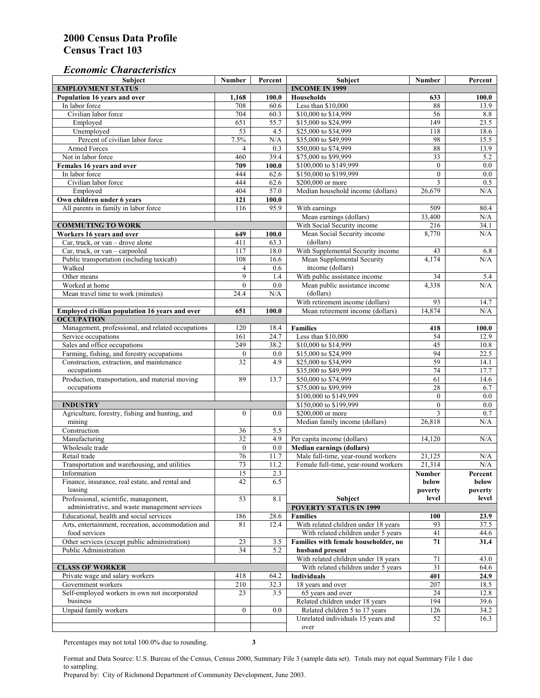#### *Economic Characteristics*

| <b>Subject</b>                                     | Number           | Percent                             | Subject                              | Number           | Percent |
|----------------------------------------------------|------------------|-------------------------------------|--------------------------------------|------------------|---------|
| <b>EMPLOYMENT STATUS</b>                           |                  |                                     | <b>INCOME IN 1999</b>                |                  |         |
| Population 16 years and over                       | 1,168            | 100.0                               | <b>Households</b>                    | 633              | 100.0   |
| In labor force                                     | 708              | 60.6                                | Less than \$10,000                   | 88               | 13.9    |
| Civilian labor force                               | 704              | 60.3                                | \$10,000 to \$14,999                 | 56               | 8.8     |
| Employed                                           | 651              | 55.7                                | \$15,000 to \$24,999                 | 149              | 23.5    |
| Unemployed                                         | $\overline{53}$  | 4.5                                 | \$25,000 to \$34,999                 | 118              | 18.6    |
| Percent of civilian labor force                    | 7.5%             | N/A                                 | \$35,000 to \$49,999                 | 98               | 15.5    |
| Armed Forces                                       | $\overline{4}$   | 0.3                                 | \$50,000 to \$74,999                 | 88               | 13.9    |
| Not in labor force                                 | 460              | 39.4                                | \$75,000 to \$99,999                 | 33               | 5.2     |
| Females 16 years and over                          | 709              | 100.0                               | \$100,000 to \$149,999               | $\boldsymbol{0}$ | 0.0     |
| In labor force                                     | 444              | 62.6                                | \$150,000 to \$199,999               | $\mathbf{0}$     | 0.0     |
| Civilian labor force                               | 444              | 62.6                                | \$200,000 or more                    | 3                | 0.5     |
| Employed                                           | 404              | 57.0                                | Median household income (dollars)    | 26,679           | N/A     |
| Own children under 6 years                         | 121              | 100.0                               |                                      |                  |         |
| All parents in family in labor force               | 116              | 95.9                                | With earnings                        | 509              | 80.4    |
|                                                    |                  |                                     | Mean earnings (dollars)              | 33,400           | N/A     |
| <b>COMMUTING TO WORK</b>                           |                  |                                     | With Social Security income          | 216              | 34.1    |
| Workers 16 years and over                          | 649              | 100.0                               | Mean Social Security income          | 8,770            | N/A     |
| Car, truck, or van – drove alone                   | 411              | 63.3                                | (dollars)                            |                  |         |
| Car, truck, or van - carpooled                     | 117              | 18.0                                | With Supplemental Security income    | 43               | 6.8     |
| Public transportation (including taxicab)          | 108              | 16.6                                | Mean Supplemental Security           | 4,174            | N/A     |
| Walked                                             | $\overline{4}$   | 0.6                                 | income (dollars)                     |                  |         |
| Other means                                        | 9                | 1.4                                 | With public assistance income        | 34               | 5.4     |
| Worked at home                                     | $\mathbf{0}$     | 0.0                                 | Mean public assistance income        | 4,338            | N/A     |
|                                                    | 24.4             | N/A                                 | (dollars)                            |                  |         |
| Mean travel time to work (minutes)                 |                  |                                     | With retirement income (dollars)     |                  |         |
|                                                    |                  |                                     |                                      | 93               | 14.7    |
| Employed civilian population 16 years and over     | 651              | 100.0                               | Mean retirement income (dollars)     | 14,874           | N/A     |
| <b>OCCUPATION</b>                                  |                  |                                     |                                      |                  |         |
| Management, professional, and related occupations  | 120              | 18.4                                | <b>Families</b>                      | 418              | 100.0   |
| Service occupations                                | 161              | 24.7                                | Less than \$10,000                   | 54               | 12.9    |
| Sales and office occupations                       | 249              | 38.2                                | \$10,000 to \$14,999                 | 45               | 10.8    |
| Farming, fishing, and forestry occupations         | $\boldsymbol{0}$ | 0.0                                 | \$15,000 to \$24,999                 | 94               | 22.5    |
| Construction, extraction, and maintenance          | 32               | 4.9                                 | \$25,000 to \$34,999                 | 59               | 14.1    |
| occupations                                        |                  |                                     | \$35,000 to \$49,999                 | 74               | 17.7    |
| Production, transportation, and material moving    | 89               | 13.7                                | \$50,000 to \$74,999                 | 61               | 14.6    |
| occupations                                        |                  |                                     | \$75,000 to \$99,999                 | 28               | 6.7     |
|                                                    |                  |                                     | \$100,000 to \$149,999               | $\mathbf{0}$     | 0.0     |
| <b>INDUSTRY</b>                                    |                  |                                     | \$150,000 to \$199,999               | $\mathbf{0}$     | $0.0\,$ |
| Agriculture, forestry, fishing and hunting, and    | $\boldsymbol{0}$ | 0.0                                 | \$200,000 or more                    | 3                | 0.7     |
| mining                                             |                  |                                     | Median family income (dollars)       | 26,818           | N/A     |
| Construction                                       | 36               | 5.5                                 |                                      |                  |         |
| Manufacturing                                      | $\overline{32}$  | 4.9                                 | Per capita income (dollars)          | 14,120           | N/A     |
| Wholesale trade                                    | $\mathbf{0}$     | 0.0                                 | <b>Median earnings (dollars)</b>     |                  |         |
| Retail trade                                       | 76               | 11.7                                | Male full-time, year-round workers   | 21,125           | N/A     |
| Transportation and warehousing, and utilities      | 73               | 11.2                                | Female full-time, year-round workers | 21,314           | N/A     |
| Information                                        | 15               | 2.3                                 |                                      | Number           | Percent |
| Finance, insurance, real estate, and rental and    | 42               | 6.5                                 |                                      | below            | below   |
| leasing                                            |                  |                                     |                                      | poverty          | poverty |
| Professional, scientific, management,              | 53               | 8.1                                 | Subject                              | level            | level   |
| administrative, and waste management services      |                  |                                     | <b>POVERTY STATUS IN 1999</b>        |                  |         |
| Educational, health and social services            | 186              | 28.6                                | <b>Families</b>                      | 100              | 23.9    |
| Arts, entertainment, recreation, accommodation and | 81               | 12.4                                | With related children under 18 years | 93               | 37.5    |
| food services                                      |                  |                                     | With related children under 5 years  | 41               | 44.6    |
| Other services (except public administration)      | 23               | 3.5                                 | Families with female householder, no | 71               | 31.4    |
| Public Administration                              | 34               | 5.2                                 | husband present                      |                  |         |
|                                                    |                  |                                     | With related children under 18 years | 71               | 43.0    |
| <b>CLASS OF WORKER</b>                             |                  | With related children under 5 years | 31                                   | 64.6             |         |
| Private wage and salary workers                    | 418              | 64.2                                | <b>Individuals</b>                   | 401              | 24.9    |
| Government workers                                 | 210              | 32.3                                | 18 years and over                    | 207              | 18.5    |
| Self-employed workers in own not incorporated      | 23               | 3.5                                 | 65 years and over                    | 24               | 12.8    |
| business                                           |                  |                                     | Related children under 18 years      | 194              | 39.6    |
| Unpaid family workers                              | $\boldsymbol{0}$ | 0.0                                 | Related children 5 to 17 years       | 126              | 34.2    |
|                                                    |                  |                                     | Unrelated individuals 15 years and   | 52               | 16.3    |
|                                                    |                  |                                     | over                                 |                  |         |
|                                                    |                  |                                     |                                      |                  |         |

Percentages may not total 100.0% due to rounding. **3**

Format and Data Source: U.S. Bureau of the Census, Census 2000, Summary File 3 (sample data set). Totals may not equal Summary File 1 due to sampling.

Prepared by: City of Richmond Department of Community Development, June 2003.